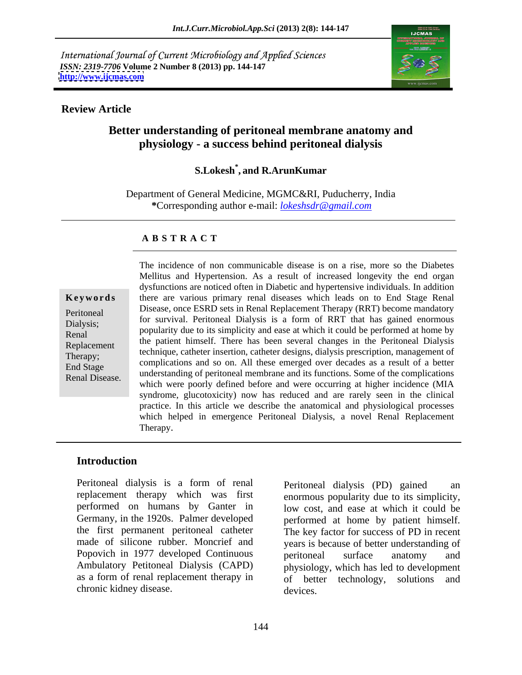International Journal of Current Microbiology and Applied Sciences *ISSN: 2319-7706* **Volume 2 Number 8 (2013) pp. 144-147 <http://www.ijcmas.com>**



## **Review Article**

# **Better understanding of peritoneal membrane anatomy and physiology - a success behind peritoneal dialysis**

### **S.Lokesh\* , and R.ArunKumar**

Department of General Medicine, MGMC&RI, Puducherry, India **\***Corresponding author e-mail: *lokeshsdr@gmail.com*

### **A B S T R A C T**

**Ke ywo rds** there are various primary renal diseases which leads on to End Stage Renal Peritoneal Disease, once ESRD sets in Renal Replacement Therapy (RRT) become mandatory Dialysis;  $\frac{101 \text{ suVval}}{1 \text{ suVval}}$  refitoncal Dialysis is a form of KKT that has gained chomous Examples.<br>
Renal **propularity due to its simplicity and ease at which it could be performed at home by** Replacement the patient infinite. There has been several changes in the remonded Dialysis technique, catheter insertion, catheter designs, dialysis prescription, management of<br>Therapy;<br> $\frac{1}{2}$ End Stage<br>
understanding of peritoneal membrane and its functions. Some of the complications<br>
Eanal Disease Renal Disease.<br>Which were poorly defined before and were occurring at higher incidence (MIA The incidence of non communicable disease is on a rise, more so the Diabetes Mellitus and Hypertension. As a result of increased longevity the end organ dysfunctions are noticed often in Diabetic and hypertensive individuals. In addition for survival. Peritoneal Dialysis is a form of RRT that hasgained enormous the patient himself. There has been several changes in the Peritoneal Dialysis complications and so on. All these emerged over decades as a result of a better syndrome, glucotoxicity) now has reduced and are rarely seen in the clinical practice. In this article we describe the anatomical and physiological processes which helped in emergence Peritoneal Dialysis, a novel Renal Replacement Therapy.

# **Introduction**

Peritoneal dialysis is a form of renal peritoneal dialysis (PD) gained an performed on humans by Ganter in Germany, in the 1920s. Palmer developed performed at home by patient himself. the first permanent peritoneal catheter The key factor for success of PD in recent Popovich in 1977 developed Continuous beritoneal surface anatomy and as a form of renal replacement therapy in of better technology, solutions and chronic kidney disease.

replacement therapy which was first enormous popularity due to its simplicity, made of silicone rubber. Moncrief and years is because of better understanding of Ambulatory Petitoneal Dialysis (CAPD) physiology, which has led to development Peritoneal dialysis (PD) gained low cost, and ease at which it could be performed at home by patient himself. The key factor for success of PD in recent peritoneal surface anatomy and of better technology, solutions devices.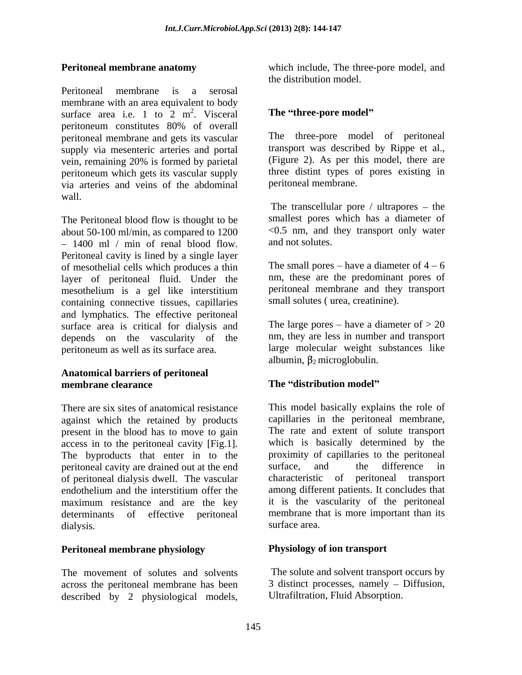Peritoneal membrane is a serosal membrane with an area equivalent to body<br>surface area i.e.  $1 \text{ to } 2 \text{ m}^2$ . Visceral surface area i.e. 1 to 2  $m^2$ . Visceral The "three-pore model" peritoneum constitutes 80% of overall peritoneal membrane and gets its vascular supply via mesenteric arteries and portal<br>vein, remaining 20% is formed by parietal vein, remaining 20% is formed by parietal (Figure 2). As per this model, there are peritoneum which gets its vascular supply via arteries and veins of the abdominal wall.

The Peritoneal blood flow is thought to be about 50-100 ml/min, as compared to 1200  $\leq 0.5$  nm, and<br>  $\leq 1400$  ml / min of renal blood flow and not solutes. - 1400 ml / min of renal blood flow. Peritoneal cavity is lined by a single layer of mesothelial cells which produces a thin layer of peritoneal fluid. Under the mesothelium is a gel like interstitium containing connective tissues, capillaries and lymphatics. The effective peritoneal surface area is critical for dialysis and depends on the vascularity of the peritoneum as well as its surface area. **Periformed membrane analomy<br>
which similar, The free-pore model, and<br>
Derivative is second<br>
periodical membrane is a second<br>
periodical model is a second<br>
periodical model is a second of periodical<br>
periodical model is s** 

# **Anatomical barriers of peritoneal membrane clearance and all intervals of the "distribution model"**

There are six sites of anatomical resistance against which the retained by products present in the blood has to move to gain access in to the peritoneal cavity [Fig.1]. The byproducts that enter in to the proximity of capillaries to the peritoneal<br>
peritoneal cavity are drained out at the end surface, and the difference in peritoneal cavity are drained out at the end endothelium and the interstitium offer the maximum resistance and are the key determinants of effective peritoneal membrane the<br>dialysis surface area dialysis. Surface area.

# **Peritoneal membrane physiology**

The movement of solutes and solvents across the peritoneal membrane has been

**Peritoneal membrane anatomy** which include, The three-pore model, and the distribution model.

# <sup>2</sup>. Visceral **The "three-pore model"**

The three-pore model of peritoneal transport was described by Rippe et al., (Figure 2). As per this model, there are three distint types of pores existing in peritoneal membrane.

The transcellular pore  $/$  ultrapores  $-$  the smallest pores which has a diameter of <0.5 nm, and they transport only water and not solutes.

The small pores – have a diameter of  $4 - 6$ nm, these are the predominant pores of peritoneal membrane and they transport small solutes ( urea, creatinine).

The large pores – have a diameter of  $> 20$ nm, they are less in number and transport large molecular weight substances like albumin,  $\beta_2$  microglobulin.

# **The "distribution model"**

of peritoneal dialysis dwell. The vascular characteristic of peritoneal transport This model basically explains the role of capillaries in the peritoneal membrane, The rate and extent of solute transport which is basically determined by the proximity of capillaries to the peritoneal surface, and the difference in among different patients. It concludes that it is the vascularity of the peritoneal membrane that is more important than its surface area.

# **Physiology of ion transport**

 The solute and solvent transport occurs by 3 distinct processes, namely  $-$  Diffusion, Ultrafiltration, Fluid Absorption.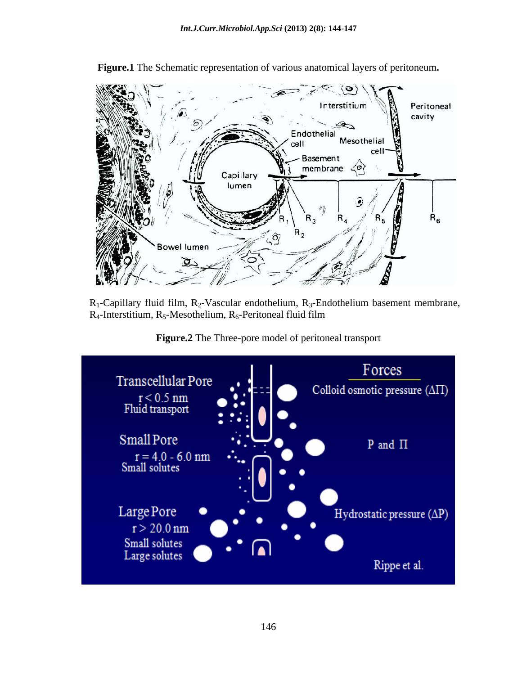

**Figure.1** The Schematic representation of various anatomical layers of peritoneum**.**

R<sub>1</sub>-Capillary fluid film, R<sub>2</sub>-Vascular endothelium, R<sub>3</sub>-Endothelium basement membrane, R<sub>4</sub>-Interstitium, R<sub>5</sub>-Mesothelium, R<sub>6</sub>-Peritoneal fluid film